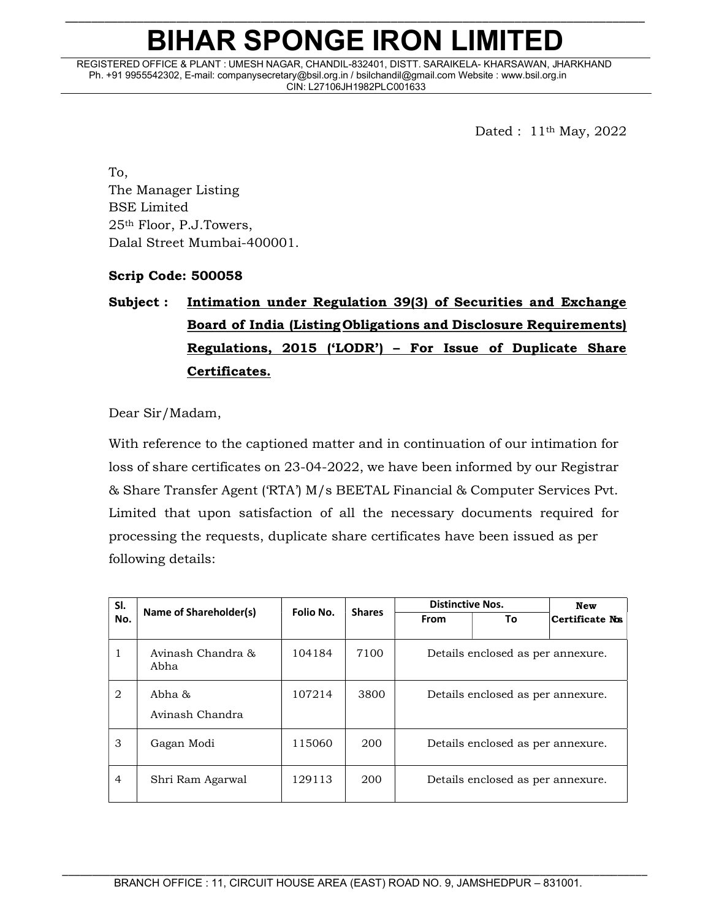## \_\_\_\_\_\_\_\_\_\_\_\_\_\_\_\_\_\_\_\_\_\_\_\_\_\_\_\_\_\_\_\_\_\_\_\_\_\_\_\_\_\_\_\_\_\_\_\_\_\_\_\_\_\_\_\_\_\_\_\_\_\_\_\_\_\_\_\_\_\_\_\_\_\_\_\_\_\_\_\_\_\_\_\_\_\_\_\_\_ BIHAR SPONGE IRON LIMITED

REGISTERED OFFICE & PLANT : UMESH NAGAR, CHANDIL-832401, DISTT. SARAIKELA- KHARSAWAN, JHARKHAND Ph. +91 9955542302, E-mail: companysecretary@bsil.org.in / bsilchandil@gmail.com Website : www.bsil.org.in CIN: L27106JH1982PLC001633

Dated : 11th May, 2022

To, The Manager Listing BSE Limited 25th Floor, P.J.Towers, Dalal Street Mumbai-400001.

### Scrip Code: 500058

## Subject : Intimation under Regulation 39(3) of Securities and Exchange Board of India (Listing Obligations and Disclosure Requirements) Regulations, 2015 ('LODR') – For Issue of Duplicate Share Certificates.

Dear Sir/Madam,

With reference to the captioned matter and in continuation of our intimation for loss of share certificates on 23-04-2022, we have been informed by our Registrar & Share Transfer Agent ('RTA') M/s BEETAL Financial & Computer Services Pvt. Limited that upon satisfaction of all the necessary documents required for processing the requests, duplicate share certificates have been issued as per following details:

| SI.            | Name of Shareholder(s)    |           |               | <b>Distinctive Nos.</b>           | New                               |                 |  |  |
|----------------|---------------------------|-----------|---------------|-----------------------------------|-----------------------------------|-----------------|--|--|
| No.            |                           | Folio No. | <b>Shares</b> | <b>From</b>                       | Τo                                | Certificate Nos |  |  |
| 1              | Avinash Chandra &<br>Abha | 104184    | 7100          | Details enclosed as per annexure. |                                   |                 |  |  |
| 2              | Abha &<br>Avinash Chandra | 107214    | 3800          | Details enclosed as per annexure. |                                   |                 |  |  |
| 3              | Gagan Modi                | 115060    | 200           |                                   | Details enclosed as per annexure. |                 |  |  |
| $\overline{4}$ | Shri Ram Agarwal          | 129113    | 200           |                                   | Details enclosed as per annexure. |                 |  |  |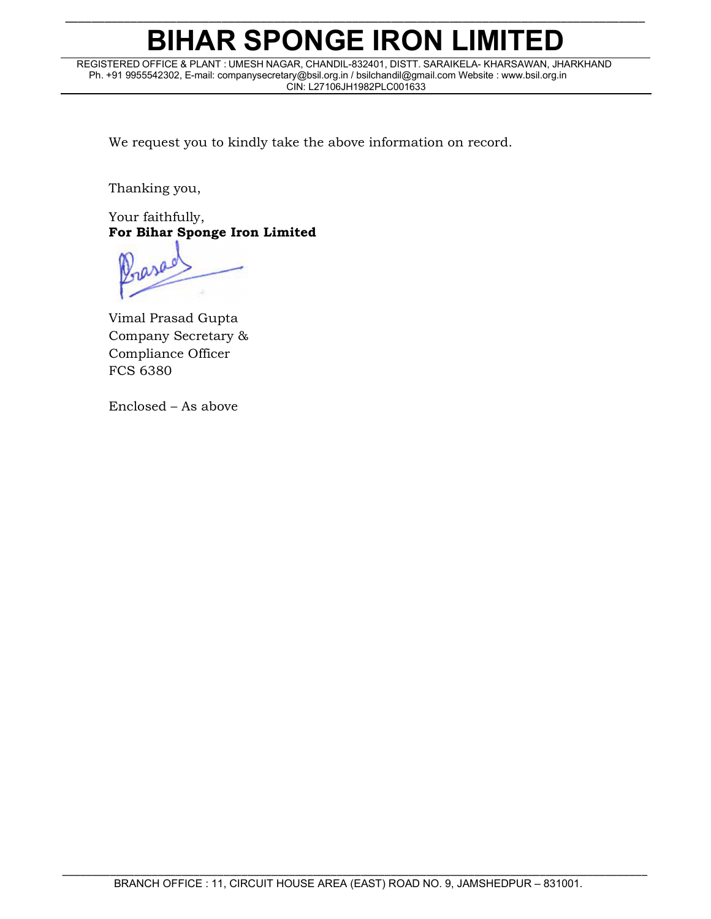# BIHAR SPONGE IRON LIMITED

\_\_\_\_\_\_\_\_\_\_\_\_\_\_\_\_\_\_\_\_\_\_\_\_\_\_\_\_\_\_\_\_\_\_\_\_\_\_\_\_\_\_\_\_\_\_\_\_\_\_\_\_\_\_\_\_\_\_\_\_\_\_\_\_\_\_\_\_\_\_\_\_\_\_\_\_\_\_\_\_\_\_\_\_\_\_\_\_\_

REGISTERED OFFICE & PLANT : UMESH NAGAR, CHANDIL-832401, DISTT. SARAIKELA- KHARSAWAN, JHARKHAND Ph. +91 9955542302, E-mail: companysecretary@bsil.org.in / bsilchandil@gmail.com Website : www.bsil.org.in CIN: L27106JH1982PLC001633

We request you to kindly take the above information on record.

Thanking you,

Your faithfully, For Bihar Sponge Iron Limited

base

Vimal Prasad Gupta Company Secretary & Compliance Officer FCS 6380

Enclosed – As above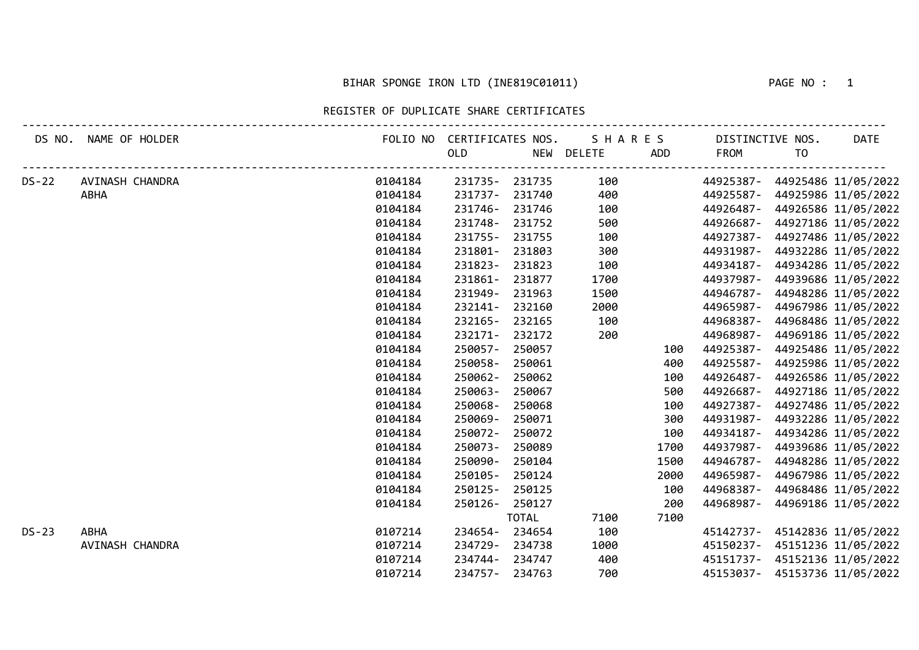#### BIHAR SPONGE IRON LTD (INE819C01011) THE RESOLUTION OF A PAGE NO : 1

REGISTER OF DUPLICATE SHARE CERTIFICATES

| DS NO.       | NAME OF HOLDER  |         | FOLIO NO CERTIFICATES NOS. |              | SHARES     |      | DISTINCTIVE NOS. |    | <b>DATE</b>                   |
|--------------|-----------------|---------|----------------------------|--------------|------------|------|------------------|----|-------------------------------|
|              |                 |         | OLD                        |              | NEW DELETE | ADD  | FROM             | TO |                               |
| <b>DS-22</b> | AVINASH CHANDRA | 0104184 | 231735-231735              |              | 100        |      |                  |    | 44925387- 44925486 11/05/2022 |
|              | <b>ABHA</b>     | 0104184 | 231737-                    | 231740       | 400        |      |                  |    | 44925587- 44925986 11/05/2022 |
|              |                 | 0104184 | 231746-                    | 231746       | 100        |      | 44926487-        |    | 44926586 11/05/2022           |
|              |                 | 0104184 | 231748-                    | 231752       | 500        |      | 44926687-        |    | 44927186 11/05/2022           |
|              |                 | 0104184 | 231755-                    | 231755       | 100        |      | 44927387-        |    | 44927486 11/05/2022           |
|              |                 | 0104184 | 231801-                    | 231803       | 300        |      | 44931987-        |    | 44932286 11/05/2022           |
|              |                 | 0104184 | 231823-                    | 231823       | 100        |      | 44934187-        |    | 44934286 11/05/2022           |
|              |                 | 0104184 | 231861-                    | 231877       | 1700       |      | 44937987-        |    | 44939686 11/05/2022           |
|              |                 | 0104184 | 231949-                    | 231963       | 1500       |      | 44946787-        |    | 44948286 11/05/2022           |
|              |                 | 0104184 | 232141-                    | 232160       | 2000       |      | 44965987-        |    | 44967986 11/05/2022           |
|              |                 | 0104184 | 232165-                    | 232165       | 100        |      | 44968387-        |    | 44968486 11/05/2022           |
|              |                 | 0104184 | 232171-                    | 232172       | 200        |      | 44968987-        |    | 44969186 11/05/2022           |
|              |                 | 0104184 | 250057-                    | 250057       |            | 100  | 44925387-        |    | 44925486 11/05/2022           |
|              |                 | 0104184 | 250058-                    | 250061       |            | 400  | 44925587-        |    | 44925986 11/05/2022           |
|              |                 | 0104184 | 250062-                    | 250062       |            | 100  | 44926487-        |    | 44926586 11/05/2022           |
|              |                 | 0104184 | 250063-                    | 250067       |            | 500  | 44926687-        |    | 44927186 11/05/2022           |
|              |                 | 0104184 | 250068-                    | 250068       |            | 100  | 44927387-        |    | 44927486 11/05/2022           |
|              |                 | 0104184 | 250069-                    | 250071       |            | 300  | 44931987-        |    | 44932286 11/05/2022           |
|              |                 | 0104184 | 250072-                    | 250072       |            | 100  | 44934187-        |    | 44934286 11/05/2022           |
|              |                 | 0104184 | 250073-                    | 250089       |            | 1700 | 44937987-        |    | 44939686 11/05/2022           |
|              |                 | 0104184 | 250090-                    | 250104       |            | 1500 | 44946787-        |    | 44948286 11/05/2022           |
|              |                 | 0104184 | 250105-                    | 250124       |            | 2000 | 44965987-        |    | 44967986 11/05/2022           |
|              |                 | 0104184 | 250125-                    | 250125       |            | 100  | 44968387-        |    | 44968486 11/05/2022           |
|              |                 | 0104184 | 250126-                    | 250127       |            | 200  | 44968987-        |    | 44969186 11/05/2022           |
|              |                 |         |                            | <b>TOTAL</b> | 7100       | 7100 |                  |    |                               |
| $DS-23$      | <b>ABHA</b>     | 0107214 | 234654-234654              |              | 100        |      |                  |    | 45142737- 45142836 11/05/2022 |
|              | AVINASH CHANDRA | 0107214 | 234729-                    | 234738       | 1000       |      |                  |    | 45150237- 45151236 11/05/2022 |
|              |                 | 0107214 | 234744-                    | 234747       | 400        |      | 45151737-        |    | 45152136 11/05/2022           |
|              |                 | 0107214 | 234757-234763              |              | 700        |      |                  |    | 45153037- 45153736 11/05/2022 |